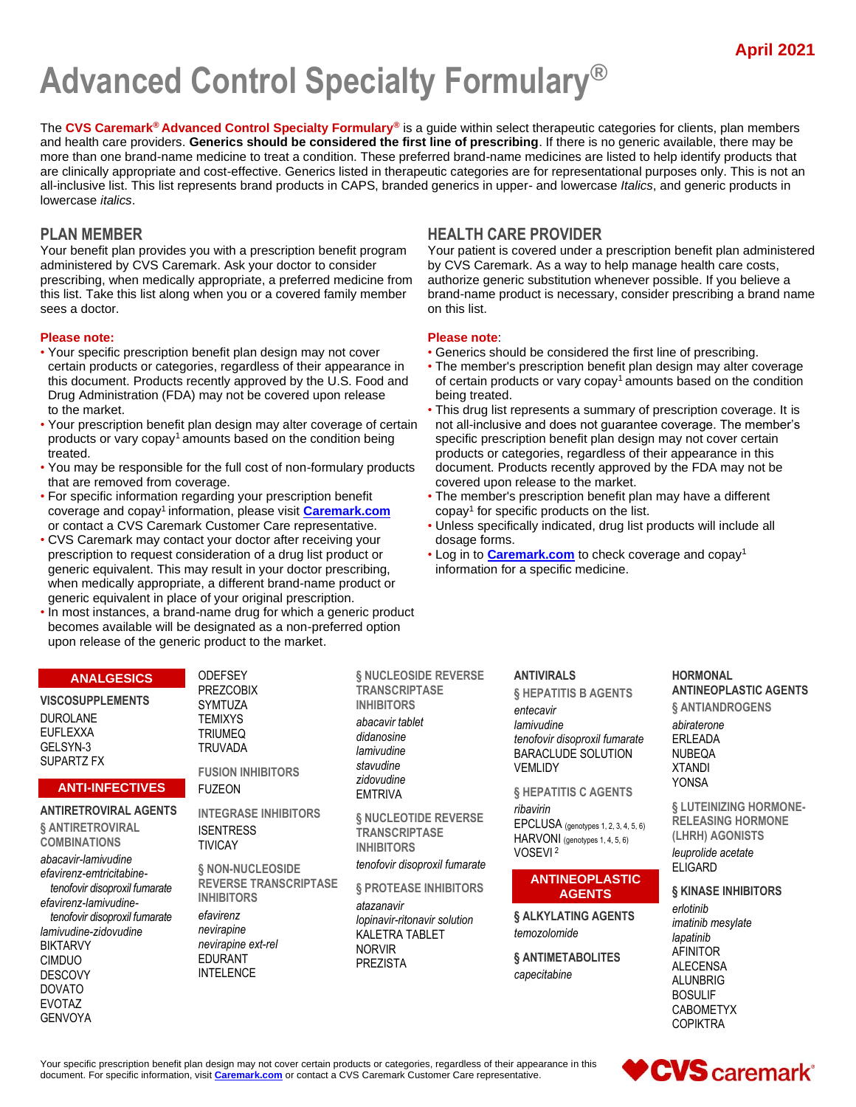# **Advanced Control Specialty Formulary®**

The **CVS Caremark® Advanced Control Specialty Formulary®** is a guide within select therapeutic categories for clients, plan members and health care providers. **Generics should be considered the first line of prescribing**. If there is no generic available, there may be more than one brand-name medicine to treat a condition. These preferred brand-name medicines are listed to help identify products that are clinically appropriate and cost-effective. Generics listed in therapeutic categories are for representational purposes only. This is not an all-inclusive list. This list represents brand products in CAPS, branded generics in upper- and lowercase *Italics*, and generic products in lowercase *italics*.

Your benefit plan provides you with a prescription benefit program administered by CVS Caremark. Ask your doctor to consider prescribing, when medically appropriate, a preferred medicine from this list. Take this list along when you or a covered family member sees a doctor.

#### **Please note: Please note**:

- Your specific prescription benefit plan design may not cover Generics should be considered the first line of prescribing. Drug Administration (FDA) may not be covered upon release
- Your prescription benefit plan design may alter coverage of certain not all-inclusive and does not guarantee coverage. The member's products or vary copay<sup>1</sup> amounts based on the condition being specific prescription benefit plan design may not cover certain treated. products or categories, regardless of their appearance in this
- You may be responsible for the full cost of non-formulary products document. Products recently approved by the FDA may not be that are removed from coverage. The market covered upon release to the market.
- For specific information regarding your prescription benefit The member's prescription benefit plan may have a different coverage and copay<sup>1</sup> information, please visit **Caremark.com**
- CVS Caremark may contact your doctor after receiving your dosage forms. prescription to request consideration of a drug list product or **•** Log in to **Caremark.com** to check coverage and copay<sup>1</sup> generic equivalent. This may result in your doctor prescribing, information for a specific medicine. when medically appropriate, a different brand-name product or generic equivalent in place of your original prescription.
- In most instances, a brand-name drug for which a generic product becomes available will be designated as a non-preferred option upon release of the generic product to the market.

# **PLAN MEMBER HEALTH CARE PROVIDER**

Your patient is covered under a prescription benefit plan administered by CVS Caremark. As a way to help manage health care costs, authorize generic substitution whenever possible. If you believe a brand-name product is necessary, consider prescribing a brand name on this list.

- 
- certain products or categories, regardless of their appearance in The member's prescription benefit plan design may alter coverage this document. Products recently approved by the U.S. Food and of certain products or vary copay<sup>1</sup> amounts based on the condition Drug Administration (FDA) may not be covered upon release being treated.
- to the market.  **This drug list represents a summary of prescription coverage.** It is
	- copay<sup>1</sup> for specific products on the list.
- or contact a CVS Caremark Customer Care representative. Unless specifically indicated, drug list products will include all
	-

#### **ANALGESICS**

**VISCOSUPPLEMENTS** DUROLANE EUFLEXXA GELSYN-3 SUPARTZ FX

#### **ANTI-INFECTIVES**

**ANTIRETROVIRAL AGENTS**

**§ ANTIRETROVIRAL COMBINATIONS**

*abacavir-lamivudine efavirenz-emtricitabinetenofovir disoproxil fumarate efavirenz-lamivudinetenofovir disoproxil fumarate lamivudine-zidovudine* BIKTARVY CIMDUO DESCOVY DOVATO EVOTAZ GENVOYA

**ODEFSEY** PREZCOBIX SYMTUZA **TEMIXYS** TRIUMEQ TRUVADA **FUSION INHIBITORS**

FUZEON

**INTEGRASE INHIBITORS ISENTRESS** TIVICAY

**§ NON-NUCLEOSIDE REVERSE TRANSCRIPTASE INHIBITORS** *efavirenz*

*nevirapine nevirapine ext-rel* EDURANT INTELENCE

**§ NUCLEOSIDE REVERSE TRANSCRIPTASE INHIBITORS** *abacavir tablet didanosine lamivudine stavudine zidovudine* EMTRIVA

**§ NUCLEOTIDE REVERSE TRANSCRIPTASE INHIBITORS**

*tenofovir disoproxil fumarate*

**§ PROTEASE INHIBITORS** *atazanavir*

*lopinavir-ritonavir solution* KALETRA TABLET NORVIR PREZISTA

**ANTIVIRALS § HEPATITIS B AGENTS**

*entecavir lamivudine tenofovir disoproxil fumarate* BARACLUDE SOLUTION VEMLIDY

**§ HEPATITIS C AGENTS**

*ribavirin* EPCLUSA (genotypes 1, 2, 3, 4, 5, 6) HARVONI (genotypes 1, 4, 5, 6) VOSEVI <sup>2</sup>

#### **ANTINEOPLASTIC AGENTS**

**§ ALKYLATING AGENTS** *temozolomide*

**§ ANTIMETABOLITES** *capecitabine*

**HORMONAL ANTINEOPLASTIC AGENTS § ANTIANDROGENS** *abiraterone* ERLEADA NUBEQA XTANDI YONSA

**§ LUTEINIZING HORMONE-RELEASING HORMONE (LHRH) AGONISTS** *leuprolide acetate* ELIGARD

# **§ KINASE INHIBITORS**

*erlotinib imatinib mesylate lapatinib* AFINITOR ALECENSA ALUNBRIG BOSULIF CABOMETYX COPIKTRA

Your specific prescription benefit plan design may not cover certain products or categories, regardless of their appearance in this document. For specific information, visit **Caremark.com** or contact a CVS Caremark Customer Care representative.

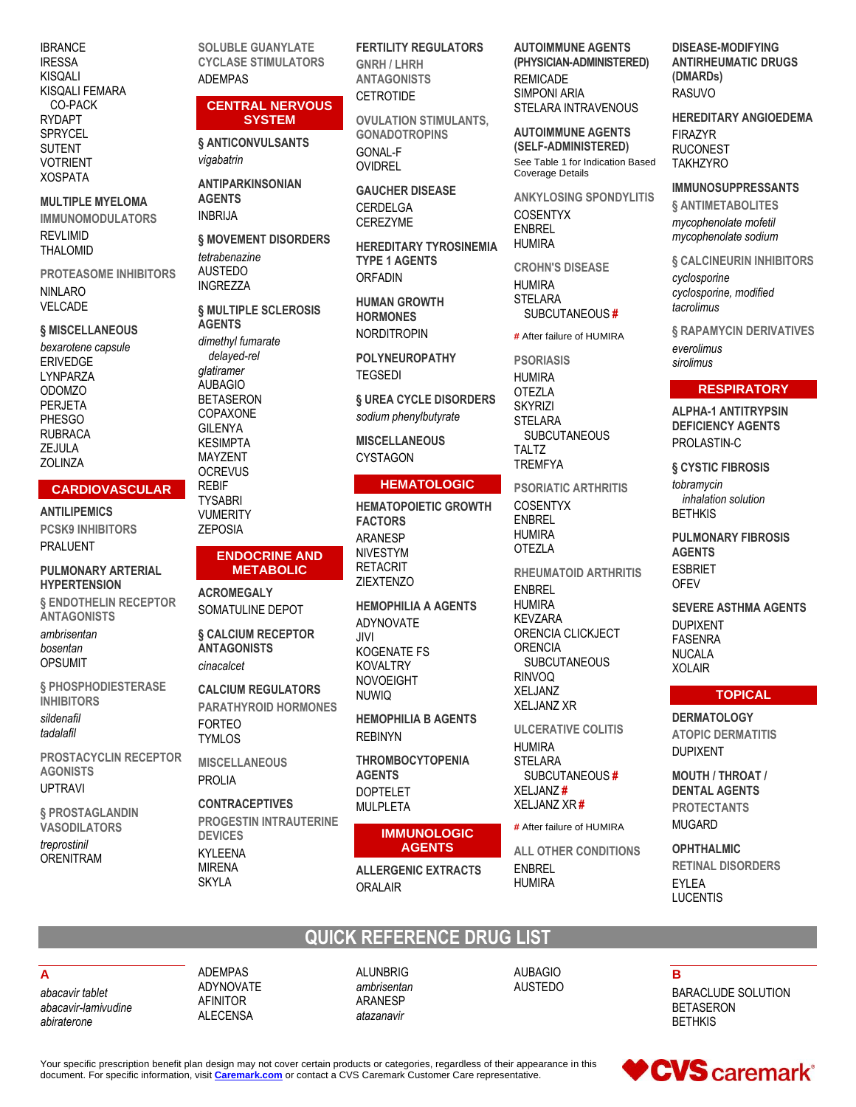**IBRANCE IRESSA** KISQALI KISQALI FEMARA CO-PACK RYDAPT **SPRYCEL SUTENT VOTRIENT XOSPATA** 

**MULTIPLE MYELOMA IMMUNOMODULATORS** 

**REVLIMID THALOMID** 

**PROTEASOME INHIBITORS NINLARO VELCADE** 

#### **§ MISCELLANEOUS**

bexarotene capsule **ERIVEDGE** LYNPARZA **ODOMZO PERJETA PHESGO RUBRACA** ZEJULA **ZOLINZA** 

#### **CARDIOVASCULAR**

**ANTILIPEMICS PCSK9 INHIBITORS PRALUENT** 

#### **PULMONARY ARTERIAL HYPERTENSION**

**& ENDOTHELIN RECEPTOR ANTAGONISTS** ambrisentan bosentan **OPSUMIT** 

**§ PHOSPHODIESTERASE INHIBITORS** sildenafil tadalafil

**PROSTACYCLIN RECEPTOR AGONISTS UPTRAVI** 

§ PROSTAGLANDIN **VASODILATORS** treprostinil

**ORENITRAM** 

**SOLUBLE GUANYLATE CYCLASE STIMULATORS ADFMPAS** 

#### **CENTRAL NERVOUS SYSTEM**

**§ ANTICONVULSANTS** vigabatrin

**ANTIPARKINSONIAN AGENTS INBRIJA** 

§ MOVEMENT DISORDERS tetrahenazine **AUSTEDO INGREZZA** 

**6 MULTIPLE SCLEROSIS AGENTS** dimethyl fumarate delayed-rel glatiramer **AUBAGIO BETASERON** COPAXONE **GILENYA KESIMPTA** MAYZENT **OCREVUS REBIF** 

**TYSABRI VUMERITY ZEPOSIA** 

#### **ENDOCRINE AND METABOLIC**

**ACROMEGALY** SOMATULINE DEPOT

**S CALCIUM RECEPTOR ANTAGONISTS** cinacalcet

**CALCIUM REGULATORS** PARATHYROID HORMONES **FORTEO TYMLOS** 

**MISCELLANEOUS** PROLIA

**CONTRACEPTIVES PROGESTIN INTRAUTERINE DEVICES KYLEENA MIRENA SKYLA** 

**FERTILITY REGULATORS GNRH / LHRH ANTAGONISTS** CETROTIDE

**OVULATION STIMULANTS. GONADOTROPINS GONAL-F OVIDREL** 

**GAUCHER DISEASE CERDELGA CEREZYME** 

**HEREDITARY TYROSINEMIA TYPE 1 AGENTS ORFADIN** 

**HUMAN GROWTH HORMONES NORDITROPIN** 

**POLYNEUROPATHY TEGSEDI** 

**§ UREA CYCLE DISORDERS** sodium phenylbutyrate

**MISCELLANEOUS CYSTAGON** 

#### **HEMATOLOGIC**

**HEMATOPOIETIC GROWTH FACTORS ARANESP NIVESTYM RETACRIT 7IEXTENZO** 

**HEMOPHILIA A AGENTS** ADYNOVATE **IVII.** KOGENATE FS **KOVALTRY NOVOEIGHT NUWIO** 

**HEMOPHILIA B AGENTS REBINYN** 

**THROMBOCYTOPENIA AGENTS DOPTELET MULPLETA** 

#### **IMMUNOLOGIC AGENTS**

**ALLERGENIC EXTRACTS ORAI AIR** 

**AUTOIMMUNE AGENTS** (PHYSICIAN-ADMINISTERED) **REMICADE SIMPONI ARIA STELARA INTRAVENOUS** 

**AUTOIMMUNE AGENTS** (SELF-ADMINISTERED) See Table 1 for Indication Based **Coverage Details** 

**ANKYLOSING SPONDYLITIS** COSENTYX **ENBREL HUMIRA** 

**CROHN'S DISEASE HUMIRA STELARA** SUBCUTANEOUS#

# After failure of HUMIRA

**PSORIASIS** 

**HUMIRA OTEZLA SKYRIZI STELARA SUBCUTANEOUS TALTZ TREMFYA** 

**PSORIATIC ARTHRITIS COSENTYX ENBREL HUMIRA OTEZLA RHEUMATOID ARTHRITIS ENBREL HUMIRA KEVZARA** ORENCIA CLICKJECT **ORENCIA SUBCUTANEOUS RINVOQ** 

XFI JANZ **XELJANZ XR ULCERATIVE COLITIS HUMIRA STELARA** SUBCUTANEOUS# XELJANZ#

# After failure of HUMIRA

XELJANZ XR#

**ALL OTHER CONDITIONS FNBRFI HUMIRA** 

**DISEASE-MODIFYING ANTIRHEUMATIC DRUGS** (DMARDs) **RASUVO** 

**HEREDITARY ANGIOEDEMA FIRAZYR RUCONEST TAKHZYRO** 

#### **IMMUNOSUPPRESSANTS**

§ ANTIMETABOLITES mycophenolate mofetil mycophenolate sodium

§ CALCINEURIN INHIBITORS cyclosporine cyclosporine, modified tacrolimus

§ RAPAMYCIN DERIVATIVES everolimus sirolimus

### **RESPIRATORY**

**ALPHA-1 ANTITRYPSIN DEFICIENCY AGENTS** PROLASTIN-C

**§ CYSTIC FIBROSIS** tobramycin inhalation solution **BETHKIS** 

**PULMONARY FIBROSIS AGENTS ESBRIET OFFV** 

**SEVERE ASTHMA AGENTS DUPIXENT FASENRA NUCALA XOLAIR** 

#### **TOPICAL**

**DERMATOLOGY ATOPIC DERMATITIS DUPIXENT** 

**MOUTH / THROAT / DENTAL AGENTS PROTECTANTS MUGARD** 

**OPHTHALMIC RETINAL DISORDERS FYI FA LUCENTIS** 

# Δ

abacavir tablet abacavir-lamivudine abiraterone

**ADFMPAS** ADYNOVATE **AFINITOR ALECENSA** 

# **QUICK REFERENCE DRUG LIST**

AI UNBRIG ambrisentan **ARANESP** atazanavir

**AUBAGIO AUSTEDO** 

B

**BARACLUDE SOLUTION BETASERON BETHKIS** 

Your specific prescription benefit plan design may not cover certain products or categories, regardless of their appearance in this document. For specific information, visit Caremark.com or contact a CVS Caremark Customer Care representative.

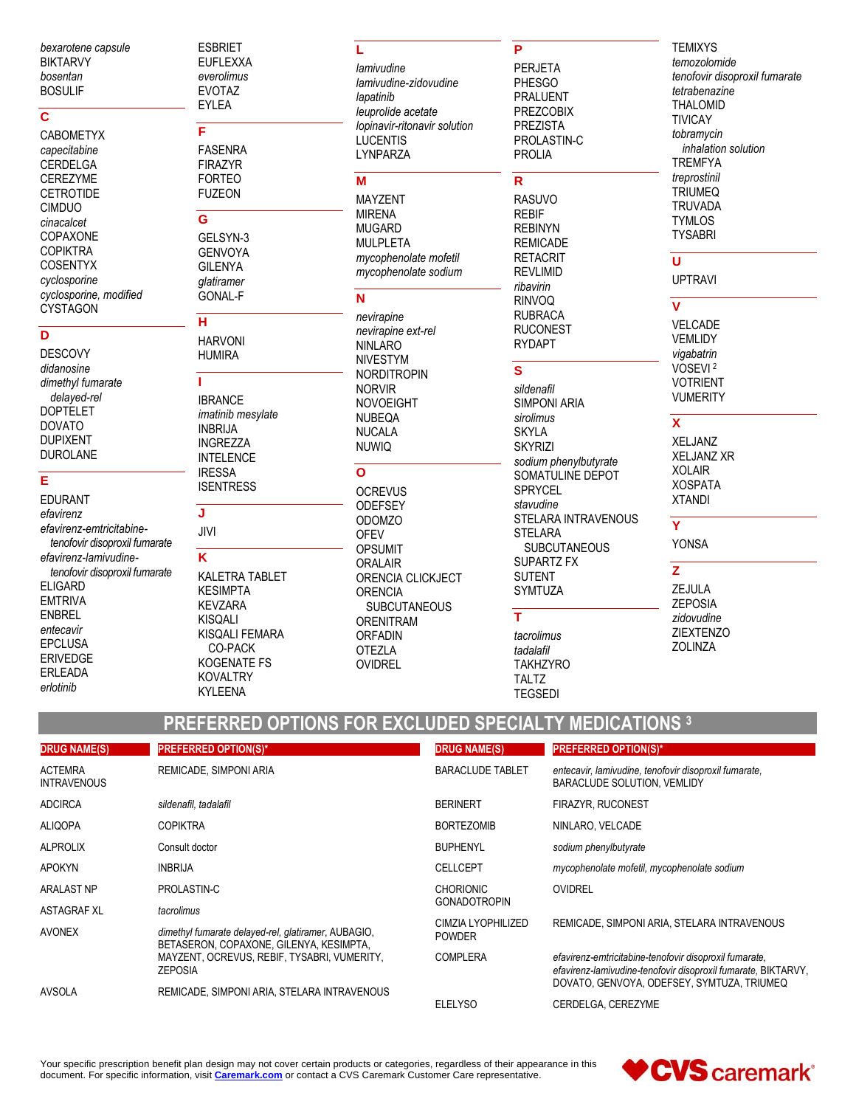bexarotene capsule **BIKTARVY** bosentan **BOSULIF** 

#### $\overline{\mathbf{c}}$

**CABOMETYX** capecitabine CERDELGA **CEREZYME CETROTIDE CIMDUO** cinacalcet COPAXONE **COPIKTRA COSENTYX** cyclosporine cyclosporine, modified **CYSTAGON** 

#### $\overline{\mathsf{D}}$

**DESCOVY** didanosine dimethyl fumarate delayed-rel **DOPTELET DOVATO DUPIXENT DUROLANE** 

# E

**EDURANT** efavirenz efavirenz-emtricitabinetenofovir disoproxil fumarate efavirenz-lamivudinetenofovir disoproxil fumarate **ELIGARD EMTRIVA ENBREL** entecavir EPCLUSA **ERIVEDGE** FRI FADA erlotinib

#### **ESBRIET EUFLEXXA** everolimus **EVOTAZ** EYLEA

F **FASENRA FIRAZYR FORTEO** 

**FUZEON** 

# G

GELSYN-3 **GENVOYA GILENYA** *alatiramer* **GONAL-F** 

### н

**HARVONI HUMIRA** 

#### Ï

**IBRANCE** imatinib mesylate **INBRIJA INGREZZA INTELENCE IRESSA ISENTRESS** J

# JIVI

K **KALETRA TABLET KESIMPTA KEVZARA KISOALI** KISQALI FEMARA CO-PACK **KOGENATE FS KOVALTRY KYLEENA** 

### L

lamivudine lamivudine-zidovudine lapatinib leuprolide acetate lopinavir-ritonavir solution **LUCENTIS** LYNPARZA

### M

**MAYZENT MIRENA MUGARD MULPLETA** mycophenolate mofetil mycophenolate sodium

# N

nevirapine nevirapine ext-rel **NINLARO NIVESTYM NORDITROPIN NORVIR NOVOFIGHT NUBEQA NUCALA NUWIQ**  $\Omega$ **OCREVUS ODEFSEY ODOMZO OFEV OPSUMIT ORALAIR** ORENCIA CLICKJECT **ORENCIA SUBCUTANEOUS ORENITRAM ORFADIN OTEZLA OVIDREL** 

### P

**PERJETA PHESGO** PRALUENT **PREZCOBIX PREZISTA** PROLASTIN-C **PROLIA** 

# $\mathsf{R}$

**RASUVO REBIF REBINYN REMICADE RETACRIT REVLIMID** ribavirin **RINVOQ RUBRACA RUCONEST** 

**RYDAPT** 

# $\mathbf{s}$

sildenafil SIMPONI ARIA sirolimus **SKYLA SKYRIZI** sodium phenylbutyrate SOMATULINE DEPOT SPRYCEL stavudine STELARA INTRAVENOUS **STFI ARA SUBCUTANEOUS** SUPARTZ FX **SUTENT SYMTUZA** T tacrolimus tadalafil

**TAKHZYRO** 

**TALTZ** 

**TEGSEDI** 

**TEMIXYS** temozolomide tenofovir disoproxil fumarate tetrabenazine **THALOMID TIVICAY** tobramycin inhalation solution **TREMFYA** treprostinil **TRIUMEQ TRUVADA TYMLOS TYSABRI**  $\overline{\mathsf{u}}$ 

# **UPTRAVI**

 $\overline{\mathsf{v}}$ VELCADE VEMLIDY vigabatrin VOSEVI<sup>2</sup> **VOTRIENT VUMERITY** 

# $\overline{\mathbf{x}}$

**XELJANZ XELJANZ XR XOLAIR XOSPATA XTANDI** 

# **YONSA**

 $\overline{\mathsf{Y}}$ 

 $\overline{z}$ ZEJULA **ZEPOSIA** zidovudine **ZIEXTENZO** ZOLINZA

# PREFERRED OPTIONS FOR EXCLUDED SPECIALTY MEDICATIONS 3

| <b>DRUG NAME(S)</b>                  | <b>PREFERRED OPTION(S)*</b>                                                                                                                                     | <b>DRUG NAME(S)</b>                 | <b>PREFERRED OPTION(S)*</b>                                                                                                                                           |
|--------------------------------------|-----------------------------------------------------------------------------------------------------------------------------------------------------------------|-------------------------------------|-----------------------------------------------------------------------------------------------------------------------------------------------------------------------|
| <b>ACTEMRA</b><br><b>INTRAVENOUS</b> | REMICADE, SIMPONI ARIA                                                                                                                                          | <b>BARACLUDE TABLET</b>             | entecavir, lamivudine, tenofovir disoproxil fumarate,<br>BARACLUDE SOLUTION, VEMLIDY                                                                                  |
| <b>ADCIRCA</b>                       | sildenafil, tadalafil                                                                                                                                           | <b>BERINERT</b>                     | <b>FIRAZYR, RUCONEST</b>                                                                                                                                              |
| <b>ALIQOPA</b>                       | <b>COPIKTRA</b>                                                                                                                                                 | <b>BORTEZOMIB</b>                   | NINLARO. VELCADE                                                                                                                                                      |
| <b>ALPROLIX</b>                      | Consult doctor                                                                                                                                                  | <b>BUPHENYL</b>                     | sodium phenylbutyrate                                                                                                                                                 |
| <b>APOKYN</b>                        | <b>INBRIJA</b>                                                                                                                                                  | <b>CELLCEPT</b>                     | mycophenolate mofetil, mycophenolate sodium                                                                                                                           |
| <b>ARALAST NP</b>                    | PROLASTIN-C                                                                                                                                                     | <b>CHORIONIC</b>                    | <b>OVIDREL</b>                                                                                                                                                        |
| <b>ASTAGRAF XL</b>                   | tacrolimus                                                                                                                                                      | <b>GONADOTROPIN</b>                 |                                                                                                                                                                       |
| <b>AVONEX</b>                        | dimethyl fumarate delayed-rel, glatiramer, AUBAGIO,<br>BETASERON, COPAXONE, GILENYA, KESIMPTA,<br>MAYZENT, OCREVUS, REBIF, TYSABRI, VUMERITY,<br><b>ZEPOSIA</b> | CIMZIA LYOPHILIZED<br><b>POWDER</b> | REMICADE, SIMPONI ARIA, STELARA INTRAVENOUS                                                                                                                           |
|                                      |                                                                                                                                                                 | <b>COMPLERA</b>                     | efavirenz-emtricitabine-tenofovir disoproxil fumarate.<br>efavirenz-lamivudine-tenofovir disoproxil fumarate, BIKTARVY,<br>DOVATO, GENVOYA, ODEFSEY, SYMTUZA, TRIUMEQ |
| <b>AVSOLA</b>                        | REMICADE, SIMPONI ARIA, STELARA INTRAVENOUS                                                                                                                     |                                     |                                                                                                                                                                       |
|                                      |                                                                                                                                                                 | <b>ELELYSO</b>                      | CERDELGA, CEREZYME                                                                                                                                                    |

Your specific prescription benefit plan design may not cover certain products or categories, regardless of their appearance in this document. For specific information, visit Caremark.com or contact a CVS Caremark Customer Care representative.

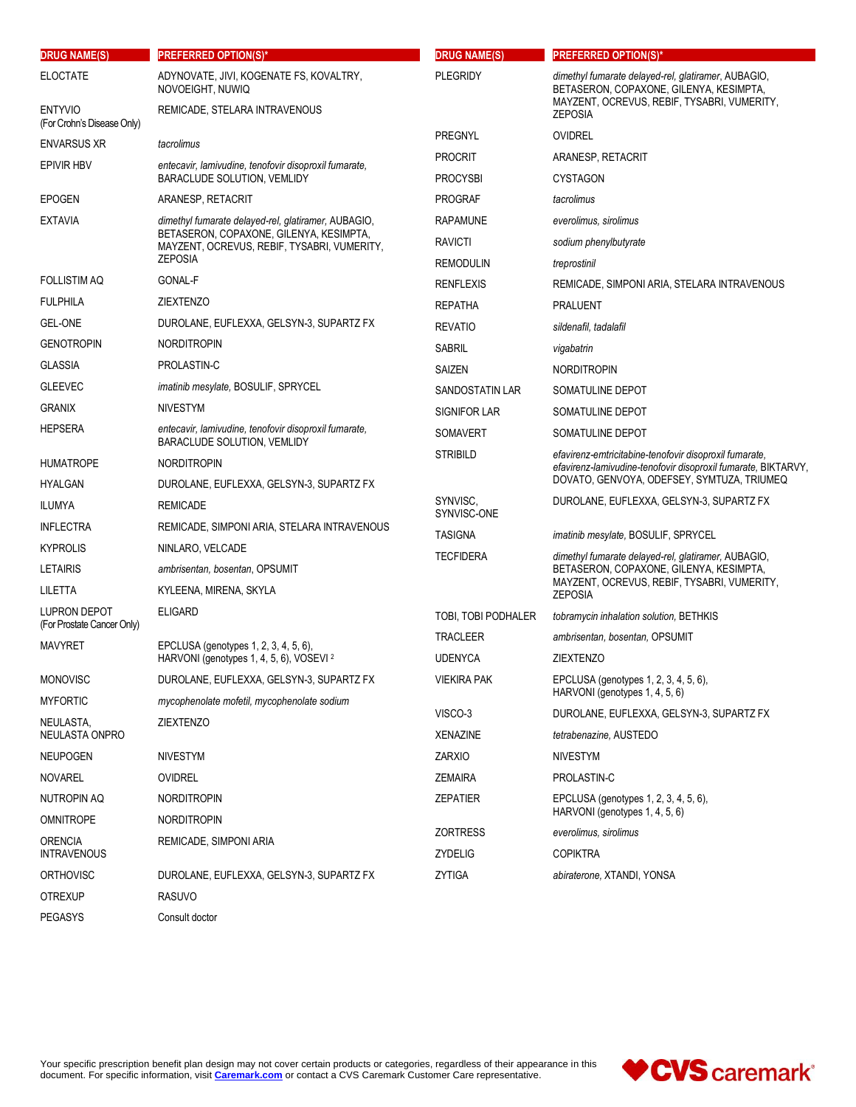| <b>DRUG NAME(S)</b>                          | <b>PREFERRED OPTION(S)*</b>                                                                                                                                     | <b>DRUG NAME(S)</b>                                                       | <b>PREFERRED OPTION(S)*</b>                                                                    |
|----------------------------------------------|-----------------------------------------------------------------------------------------------------------------------------------------------------------------|---------------------------------------------------------------------------|------------------------------------------------------------------------------------------------|
| <b>ELOCTATE</b>                              | ADYNOVATE, JIVI, KOGENATE FS, KOVALTRY,<br><b>PLEGRIDY</b><br>NOVOEIGHT, NUWIQ                                                                                  |                                                                           | dimethyl fumarate delayed-rel, glatiramer, AUBAGIO,<br>BETASERON, COPAXONE, GILENYA, KESIMPTA, |
| <b>ENTYVIO</b><br>(For Crohn's Disease Only) | REMICADE, STELARA INTRAVENOUS                                                                                                                                   |                                                                           | MAYZENT, OCREVUS, REBIF, TYSABRI, VUMERITY,<br><b>ZEPOSIA</b>                                  |
| ENVARSUS XR                                  | tacrolimus                                                                                                                                                      | <b>PREGNYL</b>                                                            | <b>OVIDREL</b>                                                                                 |
| <b>EPIVIR HBV</b>                            | entecavir, lamivudine, tenofovir disoproxil fumarate,                                                                                                           | <b>PROCRIT</b>                                                            | ARANESP, RETACRIT                                                                              |
|                                              | BARACLUDE SOLUTION, VEMLIDY                                                                                                                                     | <b>PROCYSBI</b>                                                           | <b>CYSTAGON</b>                                                                                |
| EPOGEN                                       | ARANESP, RETACRIT                                                                                                                                               | <b>PROGRAF</b>                                                            | tacrolimus                                                                                     |
| <b>EXTAVIA</b>                               | dimethyl fumarate delayed-rel, glatiramer, AUBAGIO,<br>BETASERON, COPAXONE, GILENYA, KESIMPTA,<br>MAYZENT, OCREVUS, REBIF, TYSABRI, VUMERITY,<br><b>ZEPOSIA</b> | <b>RAPAMUNE</b>                                                           | everolimus, sirolimus                                                                          |
|                                              |                                                                                                                                                                 | <b>RAVICTI</b>                                                            | sodium phenylbutyrate                                                                          |
|                                              |                                                                                                                                                                 | <b>REMODULIN</b>                                                          | treprostinil                                                                                   |
| FOLLISTIM AQ                                 | GONAL-F                                                                                                                                                         | <b>RENFLEXIS</b>                                                          | REMICADE, SIMPONI ARIA, STELARA INTRAVENOUS                                                    |
| <b>FULPHILA</b>                              | <b>ZIEXTENZO</b>                                                                                                                                                | <b>REPATHA</b>                                                            | <b>PRALUENT</b>                                                                                |
| <b>GEL-ONE</b>                               | DUROLANE, EUFLEXXA, GELSYN-3, SUPARTZ FX                                                                                                                        | <b>REVATIO</b>                                                            | sildenafil, tadalafil                                                                          |
| Genotropin                                   | <b>NORDITROPIN</b>                                                                                                                                              | SABRIL                                                                    | vigabatrin                                                                                     |
| <b>GLASSIA</b>                               | PROLASTIN-C                                                                                                                                                     | SAIZEN                                                                    | <b>NORDITROPIN</b>                                                                             |
| <b>GLEEVEC</b>                               | <i>imatinib mesylate, BOSULIF, SPRYCEL</i>                                                                                                                      | <b>SANDOSTATIN LAR</b>                                                    | SOMATULINE DEPOT                                                                               |
| GRANIX                                       | <b>NIVESTYM</b>                                                                                                                                                 | <b>SIGNIFOR LAR</b>                                                       | SOMATULINE DEPOT                                                                               |
| <b>HEPSERA</b>                               | entecavir, lamivudine, tenofovir disoproxil fumarate,<br>BARACLUDE SOLUTION, VEMLIDY                                                                            | <b>SOMAVERT</b>                                                           | SOMATULINE DEPOT                                                                               |
| HUMATROPE                                    | <b>NORDITROPIN</b>                                                                                                                                              | <b>STRIBILD</b><br>efavirenz-emtricitabine-tenofovir disoproxil fumarate. | efavirenz-lamivudine-tenofovir disoproxil fumarate, BIKTARVY,                                  |
| <b>HYALGAN</b>                               | DUROLANE, EUFLEXXA, GELSYN-3, SUPARTZ FX                                                                                                                        |                                                                           | DOVATO, GENVOYA, ODEFSEY, SYMTUZA, TRIUMEQ                                                     |
| ILUMYA                                       | <b>REMICADE</b>                                                                                                                                                 | SYNVISC,<br>SYNVISC-ONE                                                   | DUROLANE, EUFLEXXA, GELSYN-3, SUPARTZ FX                                                       |
| <b>INFLECTRA</b>                             | REMICADE, SIMPONI ARIA, STELARA INTRAVENOUS                                                                                                                     | <b>TASIGNA</b>                                                            | imatinib mesylate, BOSULIF, SPRYCEL                                                            |
| <b>KYPROLIS</b>                              | NINLARO, VELCADE                                                                                                                                                | <b>TECFIDERA</b>                                                          | dimethyl fumarate delayed-rel, glatiramer, AUBAGIO,<br>BETASERON, COPAXONE, GILENYA, KESIMPTA, |
| LETAIRIS                                     | ambrisentan, bosentan, OPSUMIT                                                                                                                                  |                                                                           |                                                                                                |
| LILETTA                                      | KYLEENA, MIRENA, SKYLA                                                                                                                                          |                                                                           | MAYZENT, OCREVUS, REBIF, TYSABRI, VUMERITY,<br><b>ZEPOSIA</b>                                  |
| LUPRON DEPOT<br>(For Prostate Cancer Only)   | <b>ELIGARD</b>                                                                                                                                                  | TOBI, TOBI PODHALER                                                       | tobramycin inhalation solution, BETHKIS                                                        |
| MAVYRET                                      | EPCLUSA (genotypes 1, 2, 3, 4, 5, 6),<br>HARVONI (genotypes 1, 4, 5, 6), VOSEVI <sup>2</sup>                                                                    | <b>TRACLEER</b>                                                           | ambrisentan, bosentan, OPSUMIT                                                                 |
|                                              |                                                                                                                                                                 | <b>UDENYCA</b>                                                            | <b>ZIEXTENZO</b>                                                                               |
| <b>MONOVISC</b>                              | DUROLANE, EUFLEXXA, GELSYN-3, SUPARTZ FX                                                                                                                        | VIEKIRA PAK                                                               | EPCLUSA (genotypes 1, 2, 3, 4, 5, 6),<br>HARVONI (genotypes 1, 4, 5, 6)                        |
| <b>MYFORTIC</b>                              | mycophenolate mofetil, mycophenolate sodium                                                                                                                     | VISCO-3                                                                   | DUROLANE, EUFLEXXA, GELSYN-3, SUPARTZ FX                                                       |
| NEULASTA,<br>NEULASTA ONPRO                  | <b>ZIEXTENZO</b>                                                                                                                                                | <b>XENAZINE</b>                                                           | tetrabenazine, AUSTEDO                                                                         |
| NEUPOGEN                                     | <b>NIVESTYM</b>                                                                                                                                                 | <b>ZARXIO</b>                                                             | <b>NIVESTYM</b>                                                                                |
| NOVAREL                                      | <b>OVIDREL</b>                                                                                                                                                  | <b>ZEMAIRA</b>                                                            | PROLASTIN-C                                                                                    |
| NUTROPIN AQ                                  | <b>NORDITROPIN</b>                                                                                                                                              | <b>ZEPATIER</b>                                                           | EPCLUSA (genotypes 1, 2, 3, 4, 5, 6),                                                          |
| <b>OMNITROPE</b>                             | <b>NORDITROPIN</b>                                                                                                                                              |                                                                           | HARVONI (genotypes 1, 4, 5, 6)                                                                 |
| ORENCIA                                      | REMICADE, SIMPONI ARIA                                                                                                                                          | <b>ZORTRESS</b>                                                           | everolimus, sirolimus<br><b>COPIKTRA</b>                                                       |
| INTRAVENOUS<br><b>ORTHOVISC</b>              |                                                                                                                                                                 | ZYDELIG<br>ZYTIGA                                                         |                                                                                                |
|                                              | DUROLANE, EUFLEXXA, GELSYN-3, SUPARTZ FX                                                                                                                        |                                                                           | abiraterone, XTANDI, YONSA                                                                     |
| <b>OTREXUP</b>                               | <b>RASUVO</b>                                                                                                                                                   |                                                                           |                                                                                                |
| <b>PEGASYS</b>                               | Consult doctor                                                                                                                                                  |                                                                           |                                                                                                |

Your specific prescription benefit plan design may not cover certain products or categories, regardless of their appearance in this document. For specific information, visit **Caremark.com** or contact a CVS Caremark Customer Care representative.

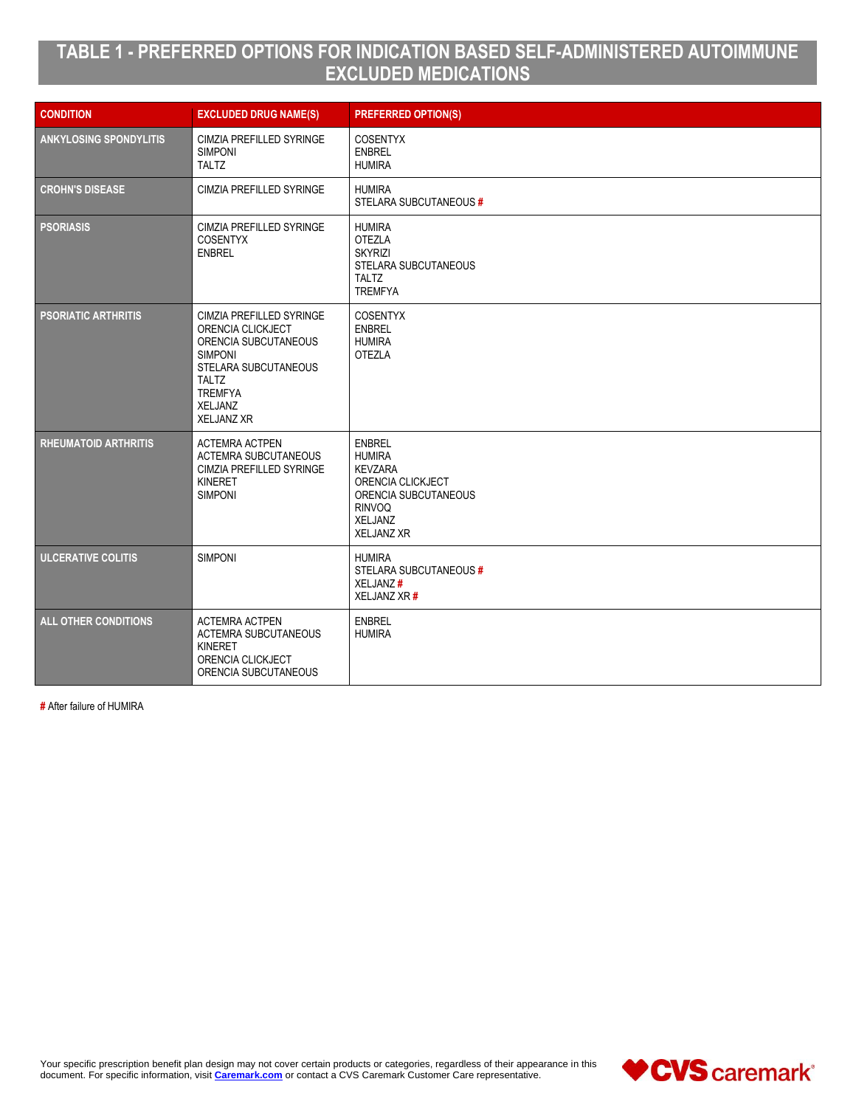# **TABLE 1 - PREFERRED OPTIONS FOR INDICATION BASED SELF-ADMINISTERED AUTOIMMUNE EXCLUDED MEDICATIONS**

| <b>CONDITION</b>              | <b>EXCLUDED DRUG NAME(S)</b>                                                                                                                                                             | <b>PREFERRED OPTION(S)</b>                                                                                                                            |
|-------------------------------|------------------------------------------------------------------------------------------------------------------------------------------------------------------------------------------|-------------------------------------------------------------------------------------------------------------------------------------------------------|
| <b>ANKYLOSING SPONDYLITIS</b> | CIMZIA PREFILLED SYRINGE<br><b>SIMPONI</b><br><b>TALTZ</b>                                                                                                                               | <b>COSENTYX</b><br><b>ENBREL</b><br><b>HUMIRA</b>                                                                                                     |
| <b>CROHN'S DISEASE</b>        | <b>CIMZIA PREFILLED SYRINGE</b>                                                                                                                                                          | <b>HUMIRA</b><br>STELARA SUBCUTANEOUS #                                                                                                               |
| <b>PSORIASIS</b>              | CIMZIA PREFILLED SYRINGE<br><b>COSENTYX</b><br><b>ENBREL</b>                                                                                                                             | <b>HUMIRA</b><br><b>OTEZLA</b><br><b>SKYRIZI</b><br>STELARA SUBCUTANEOUS<br><b>TALTZ</b><br><b>TREMFYA</b>                                            |
| <b>PSORIATIC ARTHRITIS</b>    | CIMZIA PREFILLED SYRINGE<br>ORENCIA CLICKJECT<br>ORENCIA SUBCUTANEOUS<br><b>SIMPONI</b><br>STELARA SUBCUTANEOUS<br><b>TALTZ</b><br><b>TREMFYA</b><br><b>XELJANZ</b><br><b>XELJANZ XR</b> | <b>COSENTYX</b><br><b>ENBREL</b><br><b>HUMIRA</b><br><b>OTEZLA</b>                                                                                    |
| <b>RHEUMATOID ARTHRITIS</b>   | <b>ACTEMRA ACTPEN</b><br><b>ACTEMRA SUBCUTANEOUS</b><br>CIMZIA PREFILLED SYRINGE<br><b>KINERET</b><br><b>SIMPONI</b>                                                                     | <b>ENBREL</b><br><b>HUMIRA</b><br><b>KEVZARA</b><br>ORENCIA CLICKJECT<br>ORENCIA SUBCUTANEOUS<br><b>RINVOQ</b><br><b>XELJANZ</b><br><b>XELJANZ XR</b> |
| <b>ULCERATIVE COLITIS</b>     | <b>SIMPONI</b>                                                                                                                                                                           | <b>HUMIRA</b><br>STELARA SUBCUTANEOUS #<br>XELJANZ#<br>XELJANZ XR #                                                                                   |
| <b>ALL OTHER CONDITIONS</b>   | <b>ACTEMRA ACTPEN</b><br><b>ACTEMRA SUBCUTANEOUS</b><br><b>KINERET</b><br>ORENCIA CLICKJECT<br>ORENCIA SUBCUTANEOUS                                                                      | <b>ENBREL</b><br><b>HUMIRA</b>                                                                                                                        |

**#** After failure of HUMIRA